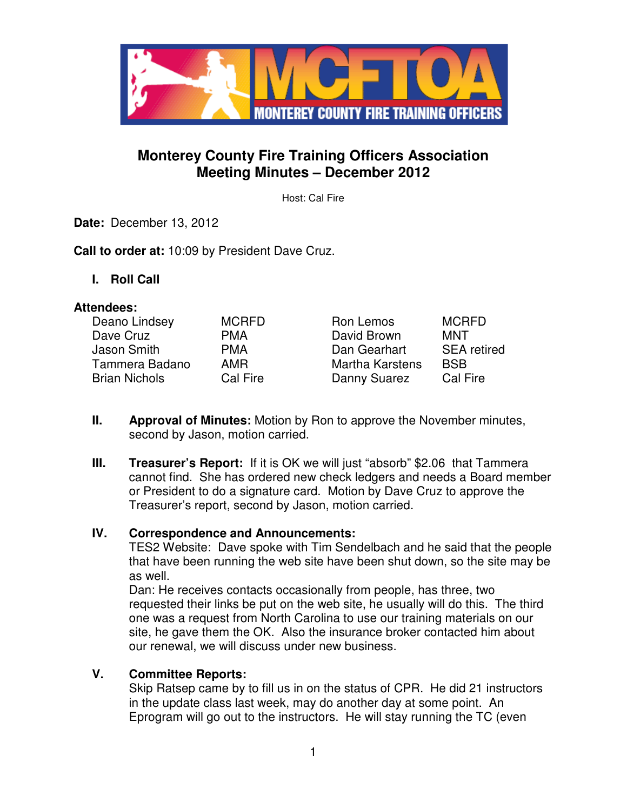

## **Monterey County Fire Training Officers Association Meeting Minutes – December 2012**

Host: Cal Fire

**Date:** December 13, 2012

**Call to order at:** 10:09 by President Dave Cruz.

**I. Roll Call** 

#### **Attendees:**

| Deano Lindsey        | <b>MCRFD</b> | Ron Lemos              | <b>MCRFD</b>       |
|----------------------|--------------|------------------------|--------------------|
| Dave Cruz            | <b>PMA</b>   | David Brown            | MNT                |
| Jason Smith          | <b>PMA</b>   | Dan Gearhart           | <b>SEA</b> retired |
| Tammera Badano       | AMR          | <b>Martha Karstens</b> | <b>BSB</b>         |
| <b>Brian Nichols</b> | Cal Fire     | Danny Suarez           | Cal Fire           |

- **II. Approval of Minutes:** Motion by Ron to approve the November minutes, second by Jason, motion carried.
- **III. Treasurer's Report:** If it is OK we will just "absorb" \$2.06 that Tammera cannot find. She has ordered new check ledgers and needs a Board member or President to do a signature card. Motion by Dave Cruz to approve the Treasurer's report, second by Jason, motion carried.

#### **IV. Correspondence and Announcements:**

TES2 Website: Dave spoke with Tim Sendelbach and he said that the people that have been running the web site have been shut down, so the site may be as well.

Dan: He receives contacts occasionally from people, has three, two requested their links be put on the web site, he usually will do this. The third one was a request from North Carolina to use our training materials on our site, he gave them the OK. Also the insurance broker contacted him about our renewal, we will discuss under new business.

#### **V. Committee Reports:**

Skip Ratsep came by to fill us in on the status of CPR. He did 21 instructors in the update class last week, may do another day at some point. An Eprogram will go out to the instructors. He will stay running the TC (even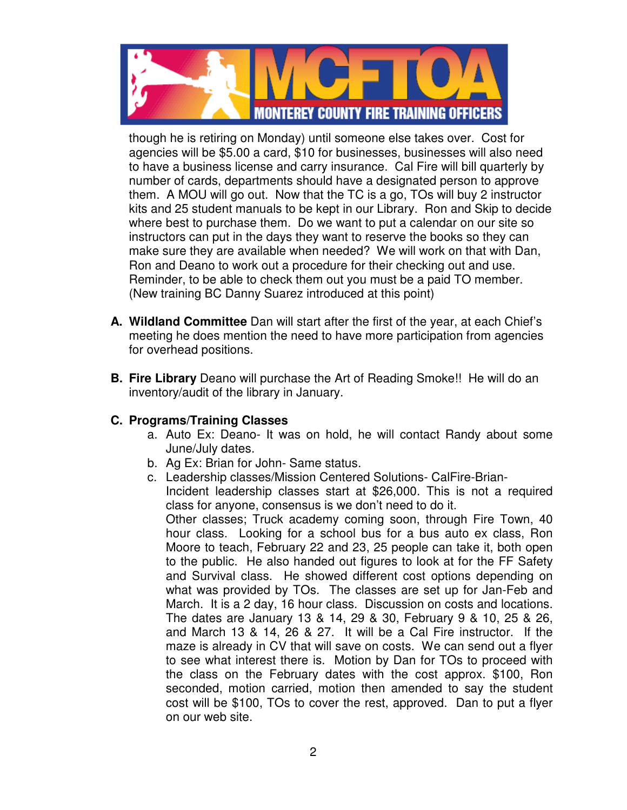

though he is retiring on Monday) until someone else takes over. Cost for agencies will be \$5.00 a card, \$10 for businesses, businesses will also need to have a business license and carry insurance. Cal Fire will bill quarterly by number of cards, departments should have a designated person to approve them. A MOU will go out. Now that the TC is a go, TOs will buy 2 instructor kits and 25 student manuals to be kept in our Library. Ron and Skip to decide where best to purchase them. Do we want to put a calendar on our site so instructors can put in the days they want to reserve the books so they can make sure they are available when needed? We will work on that with Dan, Ron and Deano to work out a procedure for their checking out and use. Reminder, to be able to check them out you must be a paid TO member. (New training BC Danny Suarez introduced at this point)

- **A. Wildland Committee** Dan will start after the first of the year, at each Chief's meeting he does mention the need to have more participation from agencies for overhead positions.
- **B. Fire Library** Deano will purchase the Art of Reading Smoke!! He will do an inventory/audit of the library in January.

## **C. Programs/Training Classes**

- a. Auto Ex: Deano- It was on hold, he will contact Randy about some June/July dates.
- b. Ag Ex: Brian for John- Same status.
- c. Leadership classes/Mission Centered Solutions- CalFire-Brian-Incident leadership classes start at \$26,000. This is not a required class for anyone, consensus is we don't need to do it. Other classes; Truck academy coming soon, through Fire Town, 40 hour class. Looking for a school bus for a bus auto ex class, Ron Moore to teach, February 22 and 23, 25 people can take it, both open to the public. He also handed out figures to look at for the FF Safety and Survival class. He showed different cost options depending on what was provided by TOs. The classes are set up for Jan-Feb and March. It is a 2 day, 16 hour class. Discussion on costs and locations. The dates are January 13 & 14, 29 & 30, February 9 & 10, 25 & 26, and March 13 & 14, 26 & 27. It will be a Cal Fire instructor. If the maze is already in CV that will save on costs. We can send out a flyer to see what interest there is. Motion by Dan for TOs to proceed with the class on the February dates with the cost approx. \$100, Ron seconded, motion carried, motion then amended to say the student cost will be \$100, TOs to cover the rest, approved. Dan to put a flyer on our web site.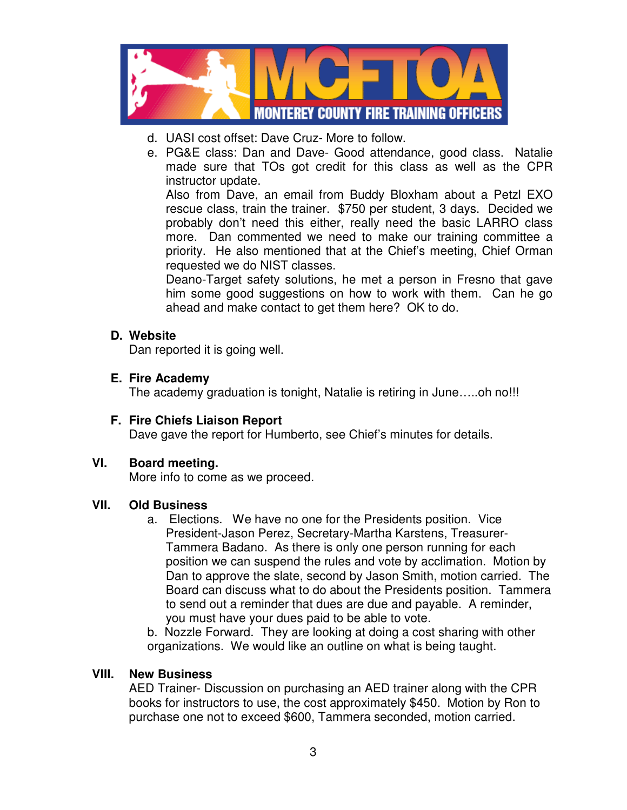

- d. UASI cost offset: Dave Cruz- More to follow.
- e. PG&E class: Dan and Dave- Good attendance, good class. Natalie made sure that TOs got credit for this class as well as the CPR instructor update.

Also from Dave, an email from Buddy Bloxham about a Petzl EXO rescue class, train the trainer. \$750 per student, 3 days. Decided we probably don't need this either, really need the basic LARRO class more. Dan commented we need to make our training committee a priority. He also mentioned that at the Chief's meeting, Chief Orman requested we do NIST classes.

Deano-Target safety solutions, he met a person in Fresno that gave him some good suggestions on how to work with them. Can he go ahead and make contact to get them here? OK to do.

## **D. Website**

Dan reported it is going well.

## **E. Fire Academy**

The academy graduation is tonight, Natalie is retiring in June…..oh no!!!

**F. Fire Chiefs Liaison Report** Dave gave the report for Humberto, see Chief's minutes for details.

## **VI. Board meeting.**

More info to come as we proceed.

## **VII. Old Business**

a. Elections. We have no one for the Presidents position. Vice President-Jason Perez, Secretary-Martha Karstens, Treasurer-Tammera Badano. As there is only one person running for each position we can suspend the rules and vote by acclimation. Motion by Dan to approve the slate, second by Jason Smith, motion carried. The Board can discuss what to do about the Presidents position. Tammera to send out a reminder that dues are due and payable. A reminder, you must have your dues paid to be able to vote.

b. Nozzle Forward. They are looking at doing a cost sharing with other organizations. We would like an outline on what is being taught.

#### **VIII. New Business**

AED Trainer- Discussion on purchasing an AED trainer along with the CPR books for instructors to use, the cost approximately \$450. Motion by Ron to purchase one not to exceed \$600, Tammera seconded, motion carried.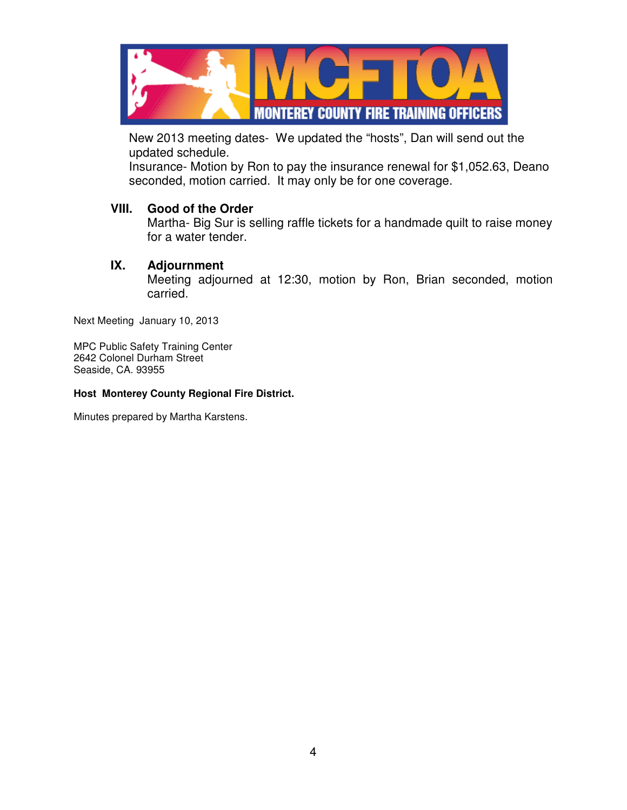

New 2013 meeting dates- We updated the "hosts", Dan will send out the updated schedule.

Insurance- Motion by Ron to pay the insurance renewal for \$1,052.63, Deano seconded, motion carried. It may only be for one coverage.

#### **VIII. Good of the Order**

Martha- Big Sur is selling raffle tickets for a handmade quilt to raise money for a water tender.

### **IX. Adjournment**

Meeting adjourned at 12:30, motion by Ron, Brian seconded, motion carried.

Next Meeting January 10, 2013

MPC Public Safety Training Center 2642 Colonel Durham Street Seaside, CA. 93955

#### **Host Monterey County Regional Fire District.**

Minutes prepared by Martha Karstens.